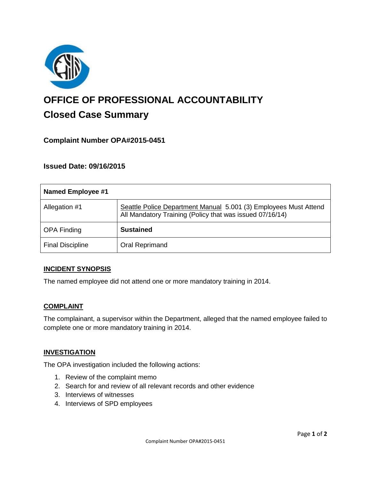

# **OFFICE OF PROFESSIONAL ACCOUNTABILITY Closed Case Summary**

## **Complaint Number OPA#2015-0451**

## **Issued Date: 09/16/2015**

| <b>Named Employee #1</b> |                                                                                                                              |
|--------------------------|------------------------------------------------------------------------------------------------------------------------------|
| Allegation #1            | Seattle Police Department Manual 5.001 (3) Employees Must Attend<br>All Mandatory Training (Policy that was issued 07/16/14) |
| <b>OPA Finding</b>       | <b>Sustained</b>                                                                                                             |
| <b>Final Discipline</b>  | Oral Reprimand                                                                                                               |

#### **INCIDENT SYNOPSIS**

The named employee did not attend one or more mandatory training in 2014.

#### **COMPLAINT**

The complainant, a supervisor within the Department, alleged that the named employee failed to complete one or more mandatory training in 2014.

#### **INVESTIGATION**

The OPA investigation included the following actions:

- 1. Review of the complaint memo
- 2. Search for and review of all relevant records and other evidence
- 3. Interviews of witnesses
- 4. Interviews of SPD employees